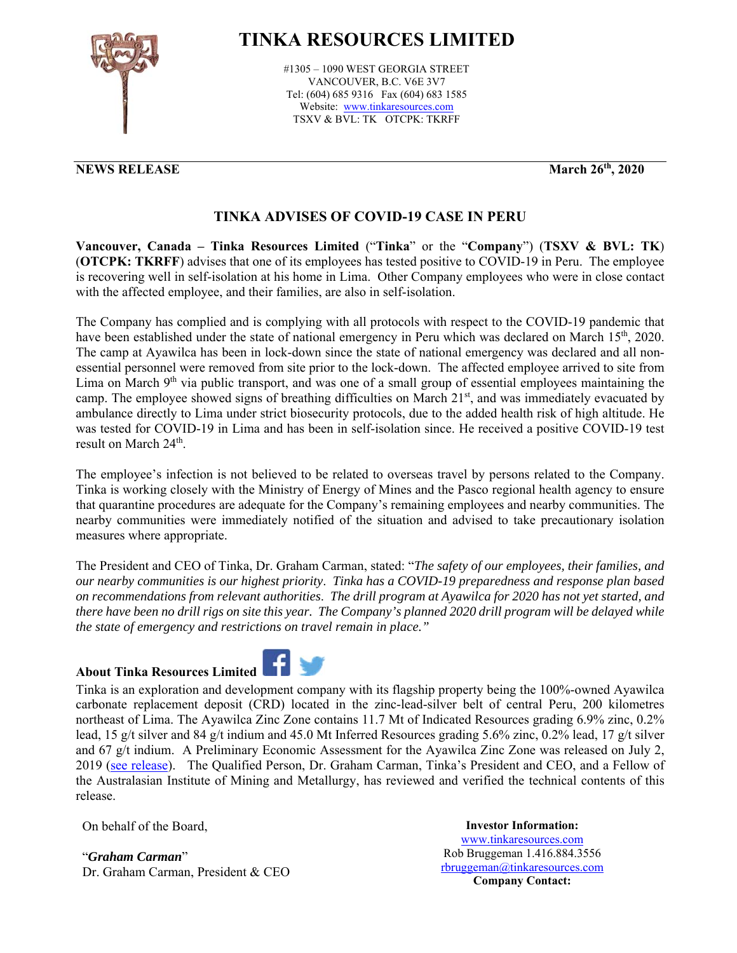

# **TINKA RESOURCES LIMITED**

#1305 – 1090 WEST GEORGIA STREET VANCOUVER, B.C. V6E 3V7 Tel: (604) 685 9316 Fax (604) 683 1585 Website: www.tinkaresources.com TSXV & BVL: TK OTCPK: TKRFF

## **NEWS RELEASE March 26<sup>th</sup>, 2020**

# **TINKA ADVISES OF COVID-19 CASE IN PERU**

**Vancouver, Canada – Tinka Resources Limited** ("**Tinka**" or the "**Company**") (**TSXV & BVL: TK**) (**OTCPK: TKRFF**) advises that one of its employees has tested positive to COVID-19 in Peru. The employee is recovering well in self-isolation at his home in Lima. Other Company employees who were in close contact with the affected employee, and their families, are also in self-isolation.

The Company has complied and is complying with all protocols with respect to the COVID-19 pandemic that have been established under the state of national emergency in Peru which was declared on March 15<sup>th</sup>, 2020. The camp at Ayawilca has been in lock-down since the state of national emergency was declared and all nonessential personnel were removed from site prior to the lock-down. The affected employee arrived to site from Lima on March  $9<sup>th</sup>$  via public transport, and was one of a small group of essential employees maintaining the camp. The employee showed signs of breathing difficulties on March  $21<sup>st</sup>$ , and was immediately evacuated by ambulance directly to Lima under strict biosecurity protocols, due to the added health risk of high altitude. He was tested for COVID-19 in Lima and has been in self-isolation since. He received a positive COVID-19 test result on March 24<sup>th</sup>.

The employee's infection is not believed to be related to overseas travel by persons related to the Company. Tinka is working closely with the Ministry of Energy of Mines and the Pasco regional health agency to ensure that quarantine procedures are adequate for the Company's remaining employees and nearby communities. The nearby communities were immediately notified of the situation and advised to take precautionary isolation measures where appropriate.

The President and CEO of Tinka, Dr. Graham Carman, stated: "*The safety of our employees, their families, and our nearby communities is our highest priority*. *Tinka has a COVID-19 preparedness and response plan based on recommendations from relevant authorities*. *The drill program at Ayawilca for 2020 has not yet started, and there have been no drill rigs on site this year. The Company's planned 2020 drill program will be delayed while the state of emergency and restrictions on travel remain in place."*

### **About Tinka Resources Limited**



Tinka is an exploration and development company with its flagship property being the 100%-owned Ayawilca carbonate replacement deposit (CRD) located in the zinc-lead-silver belt of central Peru, 200 kilometres northeast of Lima. The Ayawilca Zinc Zone contains 11.7 Mt of Indicated Resources grading 6.9% zinc, 0.2% lead, 15 g/t silver and 84 g/t indium and 45.0 Mt Inferred Resources grading 5.6% zinc, 0.2% lead, 17 g/t silver and 67 g/t indium. A Preliminary Economic Assessment for the Ayawilca Zinc Zone was released on July 2, 2019 (see release). The Qualified Person, Dr. Graham Carman, Tinka's President and CEO, and a Fellow of the Australasian Institute of Mining and Metallurgy, has reviewed and verified the technical contents of this release.

On behalf of the Board,

"*Graham Carman*" Dr. Graham Carman, President & CEO

**Investor Information:**  www.tinkaresources.com Rob Bruggeman 1.416.884.3556 rbruggeman@tinkaresources.com **Company Contact:**